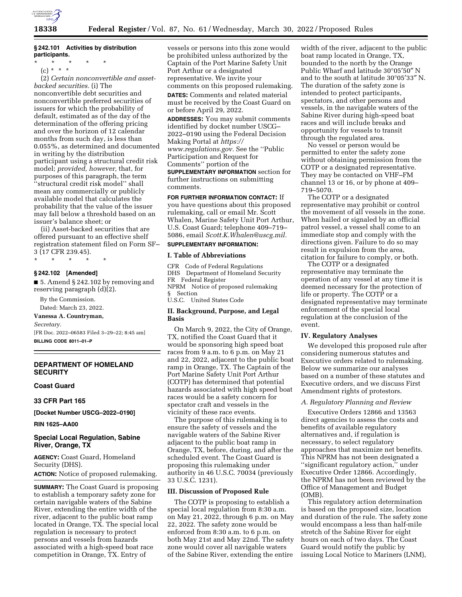

## **§ 242.101 Activities by distribution participants.**

(c) \* \* \*

(2) *Certain nonconvertible and assetbacked securities.* (i) The nonconvertible debt securities and nonconvertible preferred securities of issuers for which the probability of default, estimated as of the day of the determination of the offering pricing and over the horizon of 12 calendar months from such day, is less than 0.055%, as determined and documented in writing by the distribution participant using a structural credit risk model; *provided, however,* that, for purposes of this paragraph, the term ''structural credit risk model'' shall mean any commercially or publicly available model that calculates the probability that the value of the issuer may fall below a threshold based on an issuer's balance sheet; or

(ii) Asset-backed securities that are offered pursuant to an effective shelf registration statement filed on Form SF– 3 (17 CFR 239.45).

\* \* \* \* \*

# **§ 242.102 [Amended]**

■ 5. Amend § 242.102 by removing and reserving paragraph (d)(2).

By the Commission. Dated: March 23, 2022.

# **Vanessa A. Countryman,**

*Secretary.* 

[FR Doc. 2022–06583 Filed 3–29–22; 8:45 am] **BILLING CODE 8011–01–P** 

## **DEPARTMENT OF HOMELAND SECURITY**

## **Coast Guard**

**33 CFR Part 165** 

**[Docket Number USCG–2022–0190]** 

**RIN 1625–AA00** 

## **Special Local Regulation, Sabine River, Orange, TX**

**AGENCY:** Coast Guard, Homeland Security (DHS). **ACTION:** Notice of proposed rulemaking.

**SUMMARY:** The Coast Guard is proposing to establish a temporary safety zone for certain navigable waters of the Sabine River, extending the entire width of the river, adjacent to the public boat ramp located in Orange, TX. The special local regulation is necessary to protect persons and vessels from hazards associated with a high-speed boat race competition in Orange, TX. Entry of

vessels or persons into this zone would be prohibited unless authorized by the Captain of the Port Marine Safety Unit Port Arthur or a designated representative. We invite your comments on this proposed rulemaking.

**DATES:** Comments and related material must be received by the Coast Guard on

or before April 29, 2022. **ADDRESSES:** You may submit comments

identified by docket number USCG– 2022–0190 using the Federal Decision Making Portal at *[https://](https://www.regulations.gov) [www.regulations.gov.](https://www.regulations.gov)* See the ''Public Participation and Request for Comments'' portion of the

**SUPPLEMENTARY INFORMATION** section for further instructions on submitting comments.

## **FOR FURTHER INFORMATION CONTACT:** If

you have questions about this proposed rulemaking, call or email Mr. Scott Whalen, Marine Safety Unit Port Arthur, U.S. Coast Guard; telephone 409–719– 5086, email *[Scott.K.Whalen@uscg.mil.](mailto:Scott.K.Whalen@uscg.mil)* 

# **SUPPLEMENTARY INFORMATION:**

## **I. Table of Abbreviations**

CFR Code of Federal Regulations DHS Department of Homeland Security FR Federal Register NPRM Notice of proposed rulemaking § Section U.S.C. United States Code

## **II. Background, Purpose, and Legal Basis**

On March 9, 2022, the City of Orange, TX, notified the Coast Guard that it would be sponsoring high speed boat races from 9 a.m. to 6 p.m. on May 21 and 22, 2022, adjacent to the public boat ramp in Orange, TX. The Captain of the Port Marine Safety Unit Port Arthur (COTP) has determined that potential hazards associated with high speed boat races would be a safety concern for spectator craft and vessels in the vicinity of these race events.

The purpose of this rulemaking is to ensure the safety of vessels and the navigable waters of the Sabine River adjacent to the public boat ramp in Orange, TX, before, during, and after the scheduled event. The Coast Guard is proposing this rulemaking under authority in 46 U.S.C. 70034 (previously 33 U.S.C. 1231).

## **III. Discussion of Proposed Rule**

The COTP is proposing to establish a special local regulation from 8:30 a.m. on May 21, 2022, through 6 p.m. on May 22, 2022. The safety zone would be enforced from 8:30 a.m. to 6 p.m. on both May 21st and May 22nd. The safety zone would cover all navigable waters of the Sabine River, extending the entire

width of the river, adjacent to the public boat ramp located in Orange, TX, bounded to the north by the Orange Public Wharf and latitude 30°05′50″ N and to the south at latitude 30°05′33″ N. The duration of the safety zone is intended to protect participants, spectators, and other persons and vessels, in the navigable waters of the Sabine River during high-speed boat races and will include breaks and opportunity for vessels to transit through the regulated area.

No vessel or person would be permitted to enter the safety zone without obtaining permission from the COTP or a designated representative. They may be contacted on VHF–FM channel 13 or 16, or by phone at 409– 719–5070.

The COTP or a designated representative may prohibit or control the movement of all vessels in the zone. When hailed or signaled by an official patrol vessel, a vessel shall come to an immediate stop and comply with the directions given. Failure to do so may result in expulsion from the area, citation for failure to comply, or both.

The COTP or a designated representative may terminate the operation of any vessel at any time it is deemed necessary for the protection of life or property. The COTP or a designated representative may terminate enforcement of the special local regulation at the conclusion of the event.

## **IV. Regulatory Analyses**

We developed this proposed rule after considering numerous statutes and Executive orders related to rulemaking. Below we summarize our analyses based on a number of these statutes and Executive orders, and we discuss First Amendment rights of protestors.

## *A. Regulatory Planning and Review*

Executive Orders 12866 and 13563 direct agencies to assess the costs and benefits of available regulatory alternatives and, if regulation is necessary, to select regulatory approaches that maximize net benefits. This NPRM has not been designated a ''significant regulatory action,'' under Executive Order 12866. Accordingly, the NPRM has not been reviewed by the Office of Management and Budget (OMB).

This regulatory action determination is based on the proposed size, location and duration of the rule. The safety zone would encompass a less than half-mile stretch of the Sabine River for eight hours on each of two days. The Coast Guard would notify the public by issuing Local Notice to Mariners (LNM),

<sup>\* \* \* \* \*</sup>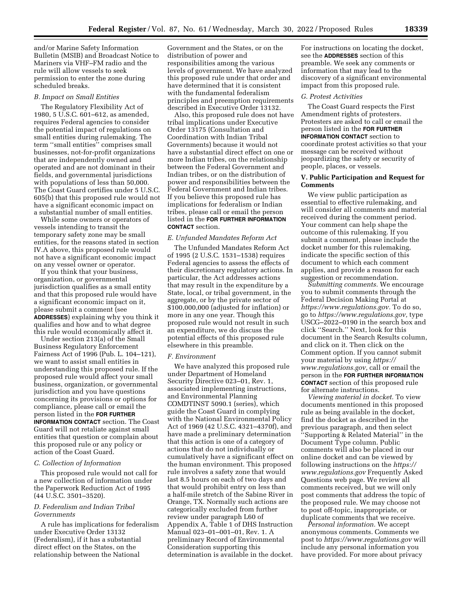and/or Marine Safety Information Bulletin (MSIB) and Broadcast Notice to Mariners via VHF–FM radio and the rule will allow vessels to seek permission to enter the zone during scheduled breaks.

#### *B. Impact on Small Entities*

The Regulatory Flexibility Act of 1980, 5 U.S.C. 601–612, as amended, requires Federal agencies to consider the potential impact of regulations on small entities during rulemaking. The term ''small entities'' comprises small businesses, not-for-profit organizations that are independently owned and operated and are not dominant in their fields, and governmental jurisdictions with populations of less than 50,000. The Coast Guard certifies under 5 U.S.C. 605(b) that this proposed rule would not have a significant economic impact on a substantial number of small entities.

While some owners or operators of vessels intending to transit the temporary safety zone may be small entities, for the reasons stated in section IV.A above, this proposed rule would not have a significant economic impact on any vessel owner or operator.

If you think that your business, organization, or governmental jurisdiction qualifies as a small entity and that this proposed rule would have a significant economic impact on it, please submit a comment (see **ADDRESSES**) explaining why you think it qualifies and how and to what degree this rule would economically affect it.

Under section 213(a) of the Small Business Regulatory Enforcement Fairness Act of 1996 (Pub. L. 104–121), we want to assist small entities in understanding this proposed rule. If the proposed rule would affect your small business, organization, or governmental jurisdiction and you have questions concerning its provisions or options for compliance, please call or email the person listed in the **FOR FURTHER INFORMATION CONTACT** section. The Coast Guard will not retaliate against small entities that question or complain about this proposed rule or any policy or action of the Coast Guard.

#### *C. Collection of Information*

This proposed rule would not call for a new collection of information under the Paperwork Reduction Act of 1995 (44 U.S.C. 3501–3520).

## *D. Federalism and Indian Tribal Governments*

A rule has implications for federalism under Executive Order 13132 (Federalism), if it has a substantial direct effect on the States, on the relationship between the National

Government and the States, or on the distribution of power and responsibilities among the various levels of government. We have analyzed this proposed rule under that order and have determined that it is consistent with the fundamental federalism principles and preemption requirements described in Executive Order 13132.

Also, this proposed rule does not have tribal implications under Executive Order 13175 (Consultation and Coordination with Indian Tribal Governments) because it would not have a substantial direct effect on one or more Indian tribes, on the relationship between the Federal Government and Indian tribes, or on the distribution of power and responsibilities between the Federal Government and Indian tribes. If you believe this proposed rule has implications for federalism or Indian tribes, please call or email the person listed in the **FOR FURTHER INFORMATION CONTACT** section.

#### *E. Unfunded Mandates Reform Act*

The Unfunded Mandates Reform Act of 1995 (2 U.S.C. 1531–1538) requires Federal agencies to assess the effects of their discretionary regulatory actions. In particular, the Act addresses actions that may result in the expenditure by a State, local, or tribal government, in the aggregate, or by the private sector of \$100,000,000 (adjusted for inflation) or more in any one year. Though this proposed rule would not result in such an expenditure, we do discuss the potential effects of this proposed rule elsewhere in this preamble.

#### *F. Environment*

We have analyzed this proposed rule under Department of Homeland Security Directive 023–01, Rev. 1, associated implementing instructions, and Environmental Planning COMDTINST 5090.1 (series), which guide the Coast Guard in complying with the National Environmental Policy Act of 1969 (42 U.S.C. 4321–4370f), and have made a preliminary determination that this action is one of a category of actions that do not individually or cumulatively have a significant effect on the human environment. This proposed rule involves a safety zone that would last 8.5 hours on each of two days and that would prohibit entry on less than a half-mile stretch of the Sabine River in Orange, TX. Normally such actions are categorically excluded from further review under paragraph L60 of Appendix A, Table 1 of DHS Instruction Manual 023–01–001–01, Rev. 1. A preliminary Record of Environmental Consideration supporting this determination is available in the docket.

For instructions on locating the docket, see the **ADDRESSES** section of this preamble. We seek any comments or information that may lead to the discovery of a significant environmental impact from this proposed rule.

#### *G. Protest Activities*

The Coast Guard respects the First Amendment rights of protesters. Protesters are asked to call or email the person listed in the **FOR FURTHER INFORMATION CONTACT** section to coordinate protest activities so that your message can be received without jeopardizing the safety or security of people, places, or vessels.

## **V. Public Participation and Request for Comments**

We view public participation as essential to effective rulemaking, and will consider all comments and material received during the comment period. Your comment can help shape the outcome of this rulemaking. If you submit a comment, please include the docket number for this rulemaking, indicate the specific section of this document to which each comment applies, and provide a reason for each suggestion or recommendation.

*Submitting comments.* We encourage you to submit comments through the Federal Decision Making Portal at *[https://www.regulations.gov.](https://www.regulations.gov)* To do so, go to *[https://www.regulations.gov,](https://www.regulations.gov)* type USCG–2022–0190 in the search box and click ''Search.'' Next, look for this document in the Search Results column, and click on it. Then click on the Comment option. If you cannot submit your material by using *[https://](https://www.regulations.gov) [www.regulations.gov,](https://www.regulations.gov)* call or email the person in the **FOR FURTHER INFORMATION CONTACT** section of this proposed rule for alternate instructions.

*Viewing material in docket.* To view documents mentioned in this proposed rule as being available in the docket, find the docket as described in the previous paragraph, and then select ''Supporting & Related Material'' in the Document Type column. Public comments will also be placed in our online docket and can be viewed by following instructions on the *[https://](https://www.regulations.gov) [www.regulations.gov](https://www.regulations.gov)* Frequently Asked Questions web page. We review all comments received, but we will only post comments that address the topic of the proposed rule. We may choose not to post off-topic, inappropriate, or duplicate comments that we receive.

*Personal information.* We accept anonymous comments. Comments we post to *<https://www.regulations.gov>*will include any personal information you have provided. For more about privacy